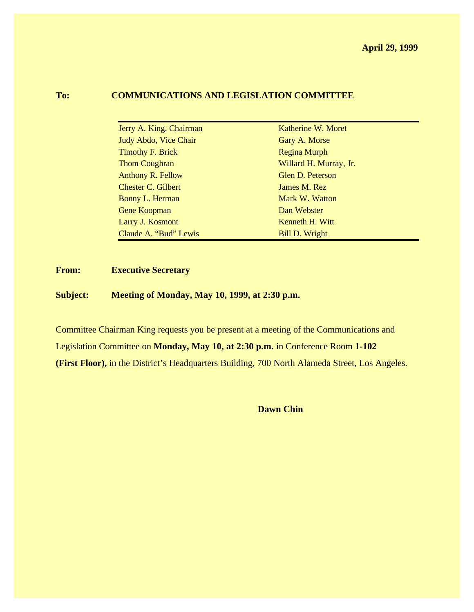## **To: COMMUNICATIONS AND LEGISLATION COMMITTEE**

| Jerry A. King, Chairman   | Katherine W. Moret     |
|---------------------------|------------------------|
| Judy Abdo, Vice Chair     | Gary A. Morse          |
| <b>Timothy F. Brick</b>   | Regina Murph           |
| <b>Thom Coughran</b>      | Willard H. Murray, Jr. |
| <b>Anthony R. Fellow</b>  | Glen D. Peterson       |
| <b>Chester C. Gilbert</b> | James M. Rez           |
| <b>Bonny L. Herman</b>    | Mark W. Watton         |
| <b>Gene Koopman</b>       | Dan Webster            |
| Larry J. Kosmont          | Kenneth H. Witt        |
| Claude A. "Bud" Lewis     | <b>Bill D. Wright</b>  |

# **From: Executive Secretary**

Ċ.

**Subject: Meeting of Monday, May 10, 1999, at 2:30 p.m.**

Committee Chairman King requests you be present at a meeting of the Communications and Legislation Committee on **Monday, May 10, at 2:30 p.m.** in Conference Room **1-102 (First Floor),** in the District's Headquarters Building, 700 North Alameda Street, Los Angeles.

**Dawn Chin**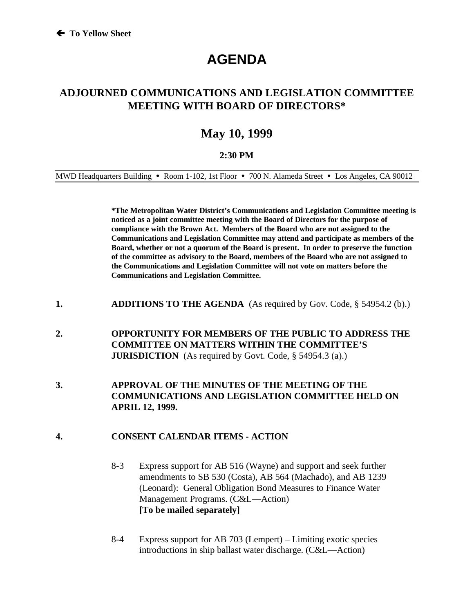# **AGENDA**

# **ADJOURNED COMMUNICATIONS AND LEGISLATION COMMITTEE MEETING WITH BOARD OF DIRECTORS\***

# **May 10, 1999**

#### **2:30 PM**

MWD Headquarters Building • Room 1-102, 1st Floor • 700 N. Alameda Street • Los Angeles, CA 90012

**\*The Metropolitan Water District's Communications and Legislation Committee meeting is noticed as a joint committee meeting with the Board of Directors for the purpose of compliance with the Brown Act. Members of the Board who are not assigned to the Communications and Legislation Committee may attend and participate as members of the Board, whether or not a quorum of the Board is present. In order to preserve the function of the committee as advisory to the Board, members of the Board who are not assigned to the Communications and Legislation Committee will not vote on matters before the Communications and Legislation Committee.**

- **1. ADDITIONS TO THE AGENDA** (As required by Gov. Code, § 54954.2 (b).)
- **2. OPPORTUNITY FOR MEMBERS OF THE PUBLIC TO ADDRESS THE COMMITTEE ON MATTERS WITHIN THE COMMITTEE'S JURISDICTION** (As required by Govt. Code, § 54954.3 (a).)
- **3. APPROVAL OF THE MINUTES OF THE MEETING OF THE COMMUNICATIONS AND LEGISLATION COMMITTEE HELD ON APRIL 12, 1999.**

#### **4. CONSENT CALENDAR ITEMS - ACTION**

- 8-3 Express support for AB 516 (Wayne) and support and seek further amendments to SB 530 (Costa), AB 564 (Machado), and AB 1239 (Leonard): General Obligation Bond Measures to Finance Water Management Programs. (C&L—Action) **[To be mailed separately]**
- 8-4 Express support for AB 703 (Lempert) Limiting exotic species introductions in ship ballast water discharge. (C&L—Action)